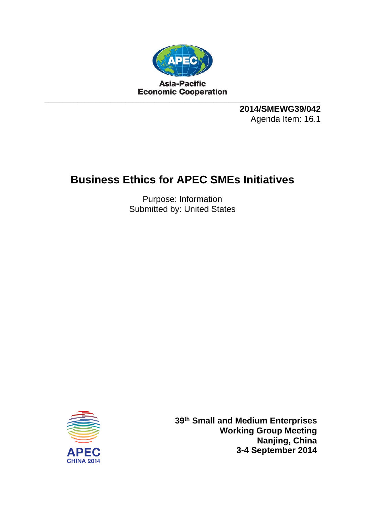

**2014/SMEWG39/042**  Agenda Item: 16.1

## **Business Ethics for APEC SMEs Initiatives**

Purpose: Information Submitted by: United States



**39th Small and Medium Enterprises Working Group Meeting Nanjing, China 3-4 September 2014**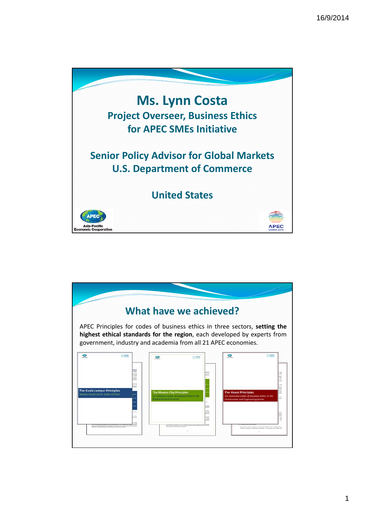

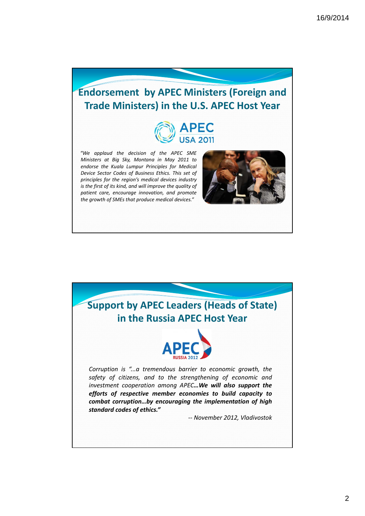## **Endorsement by APEC Ministers (Foreign and Trade Ministers) in the U.S. APEC Host Year**



*"We applaud the decision of the APEC SME Ministers at Big Sky, Montana in May 2011 to endorse the Kuala Lumpur Principles for Medical Device Sector Codes of Business Ethics. This set of principles for the region's medical devices industry is the first of its kind, and will improve the quality of patient care, encourage innovation, and promote the growth of SMEs that produce medical devices."*



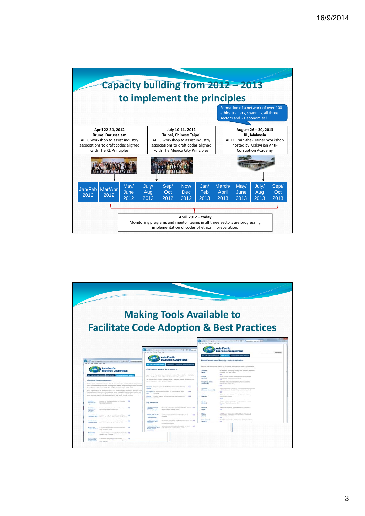

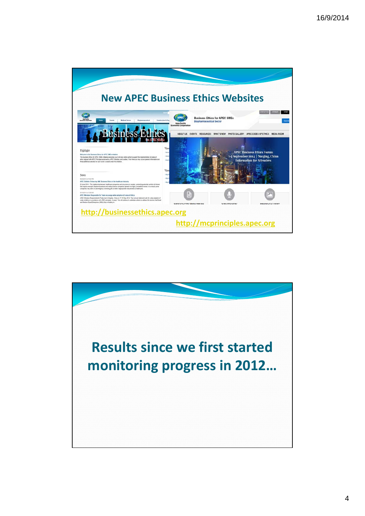

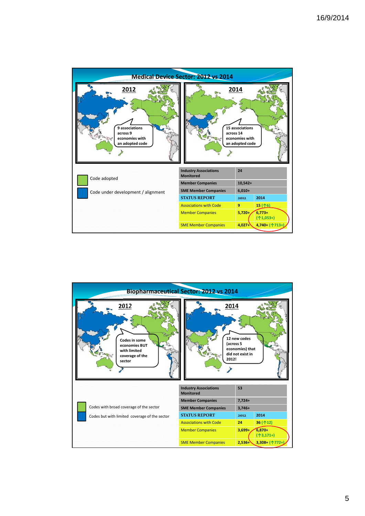

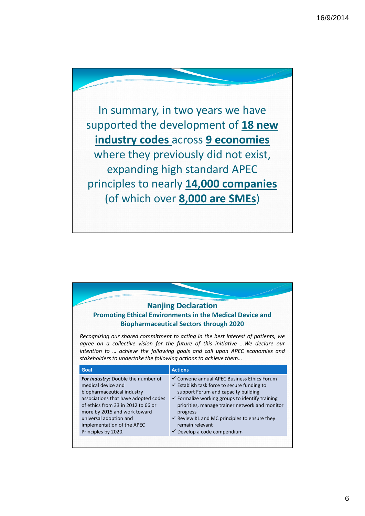In summary, in two years we have supported the development of **18 new industry codes** across **9 economies** where they previously did not exist, expanding high standard APEC principles to nearly **14,000 companies** (of which over **8,000 are SMEs**)

| <b>Nanjing Declaration</b><br><b>Promoting Ethical Environments in the Medical Device and</b><br><b>Biopharmaceutical Sectors through 2020</b>                                                                                                                                                                                                |  |  |  |
|-----------------------------------------------------------------------------------------------------------------------------------------------------------------------------------------------------------------------------------------------------------------------------------------------------------------------------------------------|--|--|--|
| Recognizing our shared commitment to acting in the best interest of patients, we<br>agree on a collective vision for the future of this initiative  We declare our<br>intention to  achieve the following goals and call upon APEC economies and<br>stakeholders to undertake the following actions to achieve them<br>Goal<br><b>Actions</b> |  |  |  |
|                                                                                                                                                                                                                                                                                                                                               |  |  |  |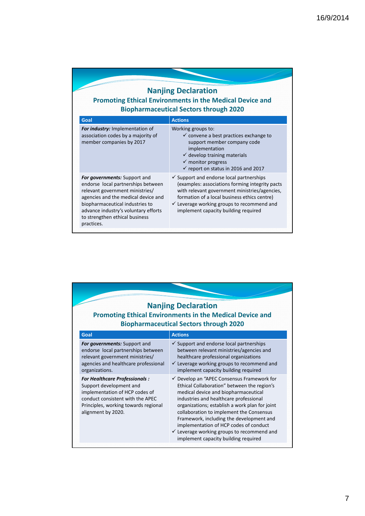|  | <b>Nanjing Declaration</b> |  |
|--|----------------------------|--|
|--|----------------------------|--|

**Promoting Ethical Environments in the Medical Device and Biopharmaceutical Sectors through 2020**

| Goal                                                                                                                                                                                                                                                                    | <b>Actions</b>                                                                                                                                                                                                                                                                                            |
|-------------------------------------------------------------------------------------------------------------------------------------------------------------------------------------------------------------------------------------------------------------------------|-----------------------------------------------------------------------------------------------------------------------------------------------------------------------------------------------------------------------------------------------------------------------------------------------------------|
| For industry: Implementation of<br>association codes by a majority of<br>member companies by 2017                                                                                                                                                                       | Working groups to:<br>$\checkmark$ convene a best practices exchange to<br>support member company code<br>implementation<br>$\checkmark$ develop training materials<br>$\checkmark$ monitor progress<br>$\checkmark$ report on status in 2016 and 2017                                                    |
| For governments: Support and<br>endorse local partnerships between<br>relevant government ministries/<br>agencies and the medical device and<br>biopharmaceutical industries to<br>advance industry's voluntary efforts<br>to strengthen ethical business<br>practices. | $\checkmark$ Support and endorse local partnerships<br>(examples: associations forming integrity pacts)<br>with relevant government ministries/agencies,<br>formation of a local business ethics centre)<br>$\checkmark$ Leverage working groups to recommend and<br>implement capacity building required |

| <b>Nanjing Declaration</b><br><b>Promoting Ethical Environments in the Medical Device and</b><br><b>Biopharmaceutical Sectors through 2020</b> |                                                                                                                                                                                                     |                                                                                                                                                                                                                                                                                                                                                                                                                                                                             |  |
|------------------------------------------------------------------------------------------------------------------------------------------------|-----------------------------------------------------------------------------------------------------------------------------------------------------------------------------------------------------|-----------------------------------------------------------------------------------------------------------------------------------------------------------------------------------------------------------------------------------------------------------------------------------------------------------------------------------------------------------------------------------------------------------------------------------------------------------------------------|--|
|                                                                                                                                                | Goal                                                                                                                                                                                                | <b>Actions</b>                                                                                                                                                                                                                                                                                                                                                                                                                                                              |  |
|                                                                                                                                                | <b>For governments:</b> Support and<br>endorse local partnerships between<br>relevant government ministries/<br>agencies and healthcare professional<br>organizations.                              | $\checkmark$ Support and endorse local partnerships<br>between relevant ministries/agencies and<br>healthcare professional organizations<br>$\checkmark$ Leverage working groups to recommend and<br>implement capacity building required                                                                                                                                                                                                                                   |  |
|                                                                                                                                                | <b>For Healthcare Professionals:</b><br>Support development and<br>implementation of HCP codes of<br>conduct consistent with the APEC<br>Principles, working towards regional<br>alignment by 2020. | $\checkmark$ Develop an "APEC Consensus Framework for<br>Ethical Collaboration" between the region's<br>medical device and biopharmaceutical<br>industries and healthcare professional<br>organizations; establish a work plan for joint<br>collaboration to implement the Consensus<br>Framework, including the development and<br>implementation of HCP codes of conduct<br>$\checkmark$ Leverage working groups to recommend and<br>implement capacity building required |  |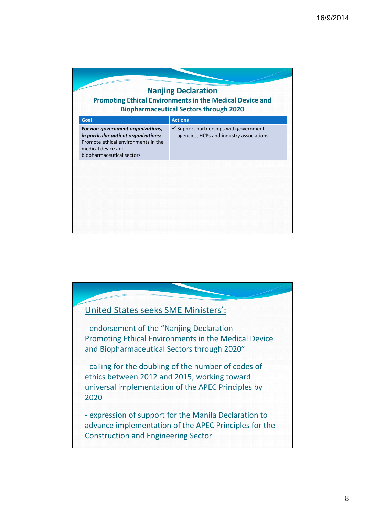